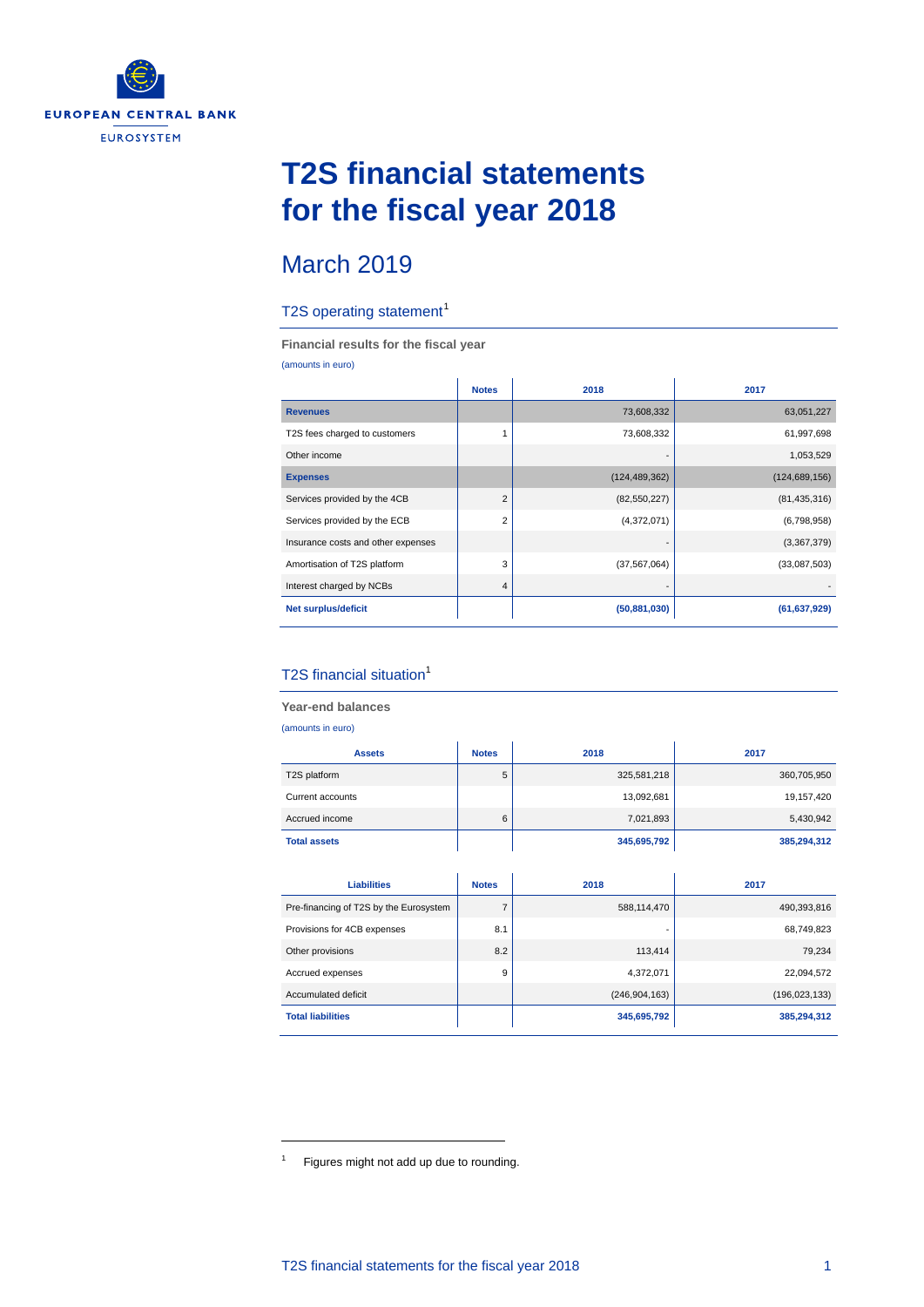

## **T2S financial statements for the fiscal year 2018**

### March 2019

#### T2S operating statement<sup>[1](#page-0-0)</sup>

**Financial results for the fiscal year**

(amounts in euro)

|                                    | <b>Notes</b>   | 2018            | 2017            |
|------------------------------------|----------------|-----------------|-----------------|
| <b>Revenues</b>                    |                | 73,608,332      | 63,051,227      |
| T2S fees charged to customers      | 1              | 73,608,332      | 61,997,698      |
| Other income                       |                |                 | 1,053,529       |
| <b>Expenses</b>                    |                | (124, 489, 362) | (124, 689, 156) |
| Services provided by the 4CB       | $\overline{2}$ | (82, 550, 227)  | (81, 435, 316)  |
| Services provided by the ECB       | $\overline{2}$ | (4,372,071)     | (6,798,958)     |
| Insurance costs and other expenses |                |                 | (3,367,379)     |
| Amortisation of T2S platform       | 3              | (37, 567, 064)  | (33,087,503)    |
| Interest charged by NCBs           | 4              |                 |                 |
| Net surplus/deficit                |                | (50, 881, 030)  | (61, 637, 929)  |

#### T2S financial situation<sup>1</sup>

**Year-end balances** (amounts in euro) **Assets Notes 2018 2017** T2S platform 5 | 325,581,218 | 360,705,950 Current accounts 13,092,681 19,157,420 Accrued income 6 6 7,021,893 5,430,942 **Total assets 345,695,792 385,294,312 Liabilities Notes 2018 2017** Pre-financing of T2S by the Eurosystem | 7 | 588,114,470 | 588,114,470 490,393,816 Provisions for 4CB expenses 8.1 - 68,749,823 Other provisions **8.2 8.2 113,414 8.2 79,234** Accrued expenses 22,094,572 9 4,372,071 22,094,572 Accumulated deficit **Accumulated deficit** (246,904,163) (246,904,163) (196,023,133) **Total liabilities 345,695,792 385,294,312**

-

<span id="page-0-0"></span><sup>&</sup>lt;sup>1</sup> Figures might not add up due to rounding.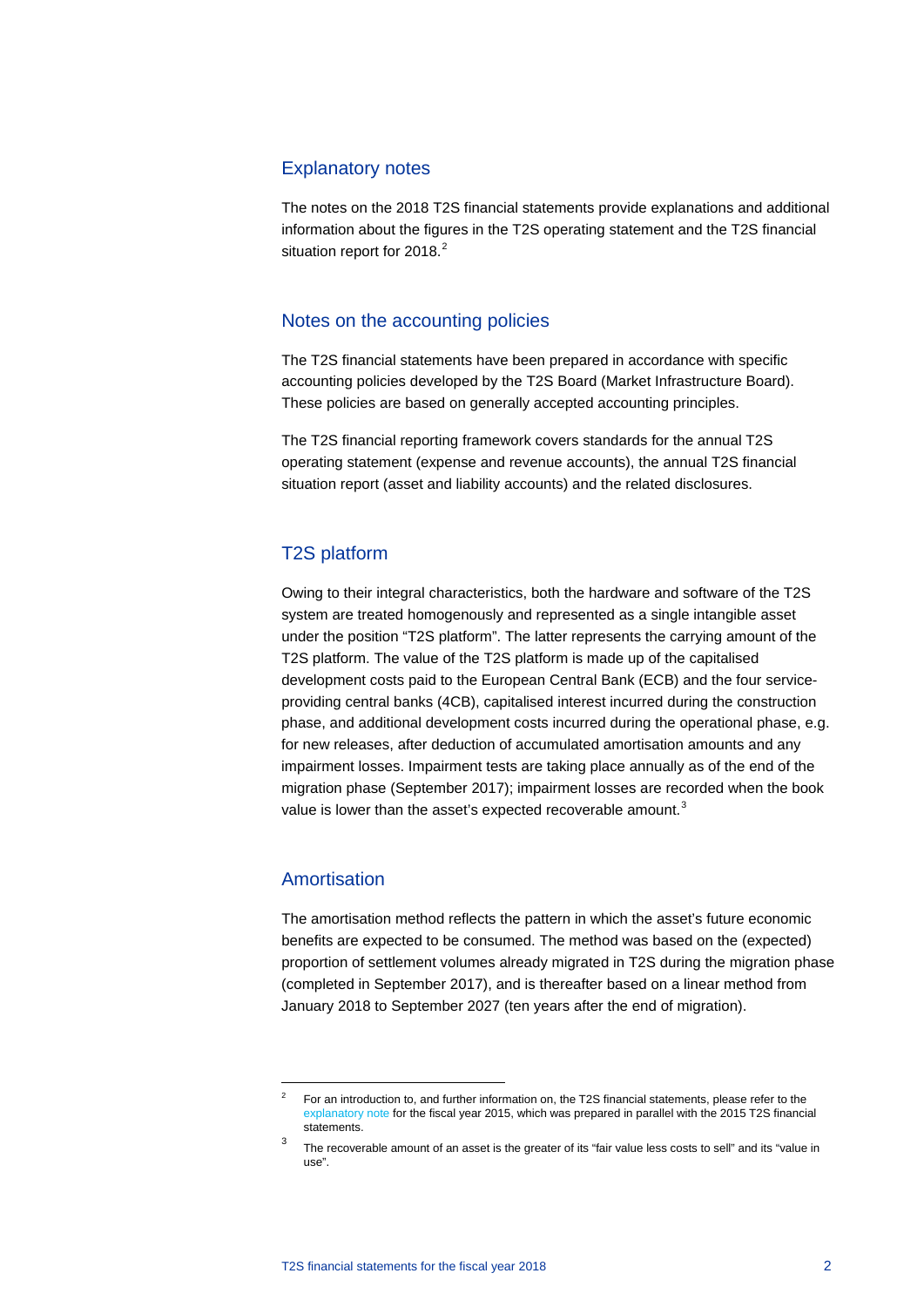#### Explanatory notes

The notes on the 2018 T2S financial statements provide explanations and additional information about the figures in the T2S operating statement and the T2S financial situation report for [2](#page-1-0)018.<sup>2</sup>

#### Notes on the accounting policies

The T2S financial statements have been prepared in accordance with specific accounting policies developed by the T2S Board (Market Infrastructure Board). These policies are based on generally accepted accounting principles.

The T2S financial reporting framework covers standards for the annual T2S operating statement (expense and revenue accounts), the annual T2S financial situation report (asset and liability accounts) and the related disclosures.

#### T2S platform

Owing to their integral characteristics, both the hardware and software of the T2S system are treated homogenously and represented as a single intangible asset under the position "T2S platform". The latter represents the carrying amount of the T2S platform. The value of the T2S platform is made up of the capitalised development costs paid to the European Central Bank (ECB) and the four serviceproviding central banks (4CB), capitalised interest incurred during the construction phase, and additional development costs incurred during the operational phase, e.g. for new releases, after deduction of accumulated amortisation amounts and any impairment losses. Impairment tests are taking place annually as of the end of the migration phase (September 2017); impairment losses are recorded when the book value is lower than the asset's expected recoverable amount. $^3$  $^3$ 

#### Amortisation

1

The amortisation method reflects the pattern in which the asset's future economic benefits are expected to be consumed. The method was based on the (expected) proportion of settlement volumes already migrated in T2S during the migration phase (completed in September 2017), and is thereafter based on a linear method from January 2018 to September 2027 (ten years after the end of migration).

<span id="page-1-0"></span><sup>&</sup>lt;sup>2</sup> For an introduction to, and further information on, the T2S financial statements, please refer to the [explanatory note](https://www.ecb.europa.eu/pub/pdf/annex/ecb.targetsecfs150401_annex.en.pdf?931122b28ecac1714b660d075c860a7d) for the fiscal year 2015, which was prepared in parallel with the 2015 T2S financial statements.

<span id="page-1-1"></span>The recoverable amount of an asset is the greater of its "fair value less costs to sell" and its "value in use".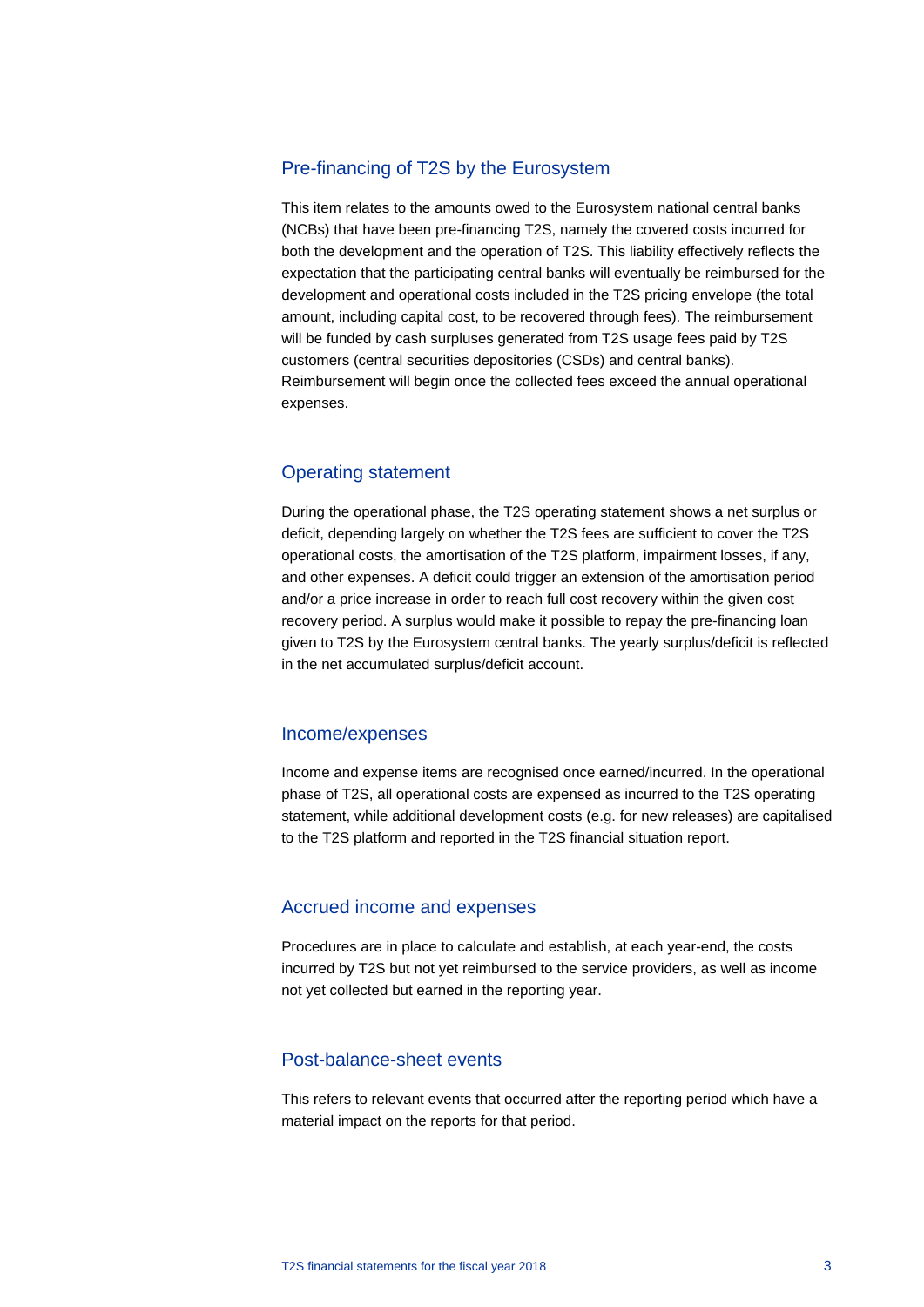#### Pre-financing of T2S by the Eurosystem

This item relates to the amounts owed to the Eurosystem national central banks (NCBs) that have been pre-financing T2S, namely the covered costs incurred for both the development and the operation of T2S. This liability effectively reflects the expectation that the participating central banks will eventually be reimbursed for the development and operational costs included in the T2S pricing envelope (the total amount, including capital cost, to be recovered through fees). The reimbursement will be funded by cash surpluses generated from T2S usage fees paid by T2S customers (central securities depositories (CSDs) and central banks). Reimbursement will begin once the collected fees exceed the annual operational expenses.

#### Operating statement

During the operational phase, the T2S operating statement shows a net surplus or deficit, depending largely on whether the T2S fees are sufficient to cover the T2S operational costs, the amortisation of the T2S platform, impairment losses, if any, and other expenses. A deficit could trigger an extension of the amortisation period and/or a price increase in order to reach full cost recovery within the given cost recovery period. A surplus would make it possible to repay the pre-financing loan given to T2S by the Eurosystem central banks. The yearly surplus/deficit is reflected in the net accumulated surplus/deficit account.

#### Income/expenses

Income and expense items are recognised once earned/incurred. In the operational phase of T2S, all operational costs are expensed as incurred to the T2S operating statement, while additional development costs (e.g. for new releases) are capitalised to the T2S platform and reported in the T2S financial situation report.

#### Accrued income and expenses

Procedures are in place to calculate and establish, at each year-end, the costs incurred by T2S but not yet reimbursed to the service providers, as well as income not yet collected but earned in the reporting year.

#### Post-balance-sheet events

This refers to relevant events that occurred after the reporting period which have a material impact on the reports for that period.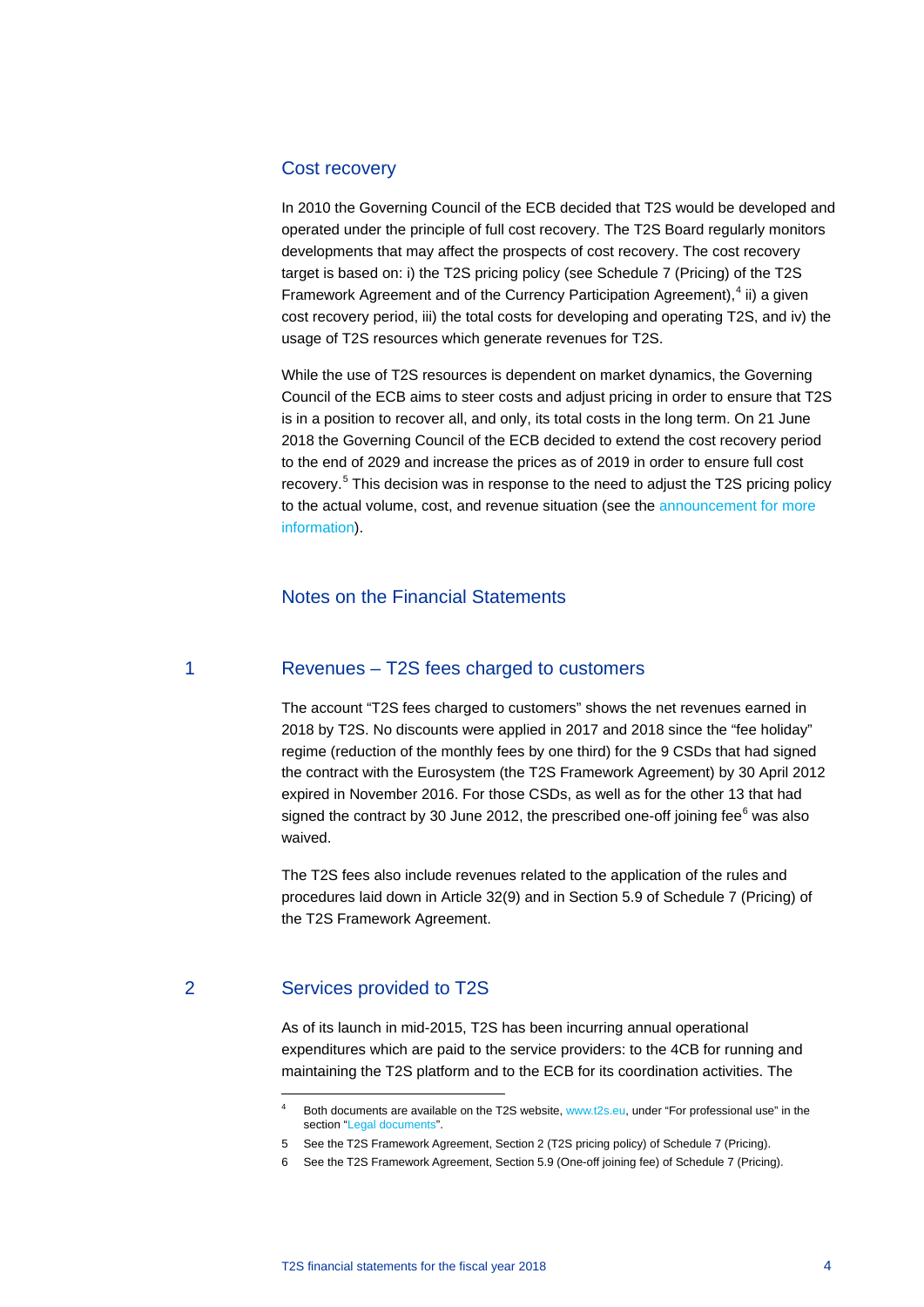#### Cost recovery

In 2010 the Governing Council of the ECB decided that T2S would be developed and operated under the principle of full cost recovery. The T2S Board regularly monitors developments that may affect the prospects of cost recovery. The cost recovery target is based on: i) the T2S pricing policy (see Schedule 7 (Pricing) of the T2S Framework Agreement and of the Currency Participation Agreement),<sup>[4](#page-3-0)</sup> ii) a given cost recovery period, iii) the total costs for developing and operating T2S, and iv) the usage of T2S resources which generate revenues for T2S.

While the use of T2S resources is dependent on market dynamics, the Governing Council of the ECB aims to steer costs and adjust pricing in order to ensure that T2S is in a position to recover all, and only, its total costs in the long term. On 21 June 2018 the Governing Council of the ECB decided to extend the cost recovery period to the end of 2029 and increase the prices as of 2019 in order to ensure full cost recovery.<sup>[5](#page-3-1)</sup> This decision was in response to the need to adjust the T2S pricing policy to the actual volume, cost, and revenue situation (see the [announcement](https://www.ecb.europa.eu/paym/intro/mip-online/2018/html/1806_t2s_pricing_realigned.en.html) for more information).

#### Notes on the Financial Statements

#### 1 Revenues – T2S fees charged to customers

The account "T2S fees charged to customers" shows the net revenues earned in 2018 by T2S. No discounts were applied in 2017 and 2018 since the "fee holiday" regime (reduction of the monthly fees by one third) for the 9 CSDs that had signed the contract with the Eurosystem (the T2S Framework Agreement) by 30 April 2012 expired in November 2016. For those CSDs, as well as for the other 13 that had signed the contract by 30 June 2012, the prescribed one-off joining fee $<sup>6</sup>$  $<sup>6</sup>$  $<sup>6</sup>$  was also</sup> waived.

The T2S fees also include revenues related to the application of the rules and procedures laid down in Article 32(9) and in Section 5.9 of Schedule 7 (Pricing) of the T2S Framework Agreement.

#### <span id="page-3-2"></span><span id="page-3-1"></span><span id="page-3-0"></span>2 Services provided to T2S

-

As of its launch in mid-2015, T2S has been incurring annual operational expenditures which are paid to the service providers: to the 4CB for running and maintaining the T2S platform and to the ECB for its coordination activities. The

Both documents are available on the T2S website, [www.t2s.eu,](http://www.t2s.eu/) under "For professional use" in the section ["Legal documents"](https://www.ecb.europa.eu/paym/target/t2s/profuse/html/index.en.html).

<sup>5</sup> See the T2S Framework Agreement, [Section 2 \(T2S pricing policy\) of Schedule 7 \(Pricing\).](https://www.ecb.europa.eu/paym/target/t2s/profuse/shared/pdf/framework_agreement.pdf?684b43a2134ad5ff9c787ba1f4c59e5c) 

<sup>6</sup> [See the T2S Framework Agreement, Section 5.9 \(One-off joining](https://www.ecb.europa.eu/paym/target/t2s/profuse/shared/pdf/framework_agreement.pdf?684b43a2134ad5ff9c787ba1f4c59e5c) fee) of Schedule 7 (Pricing).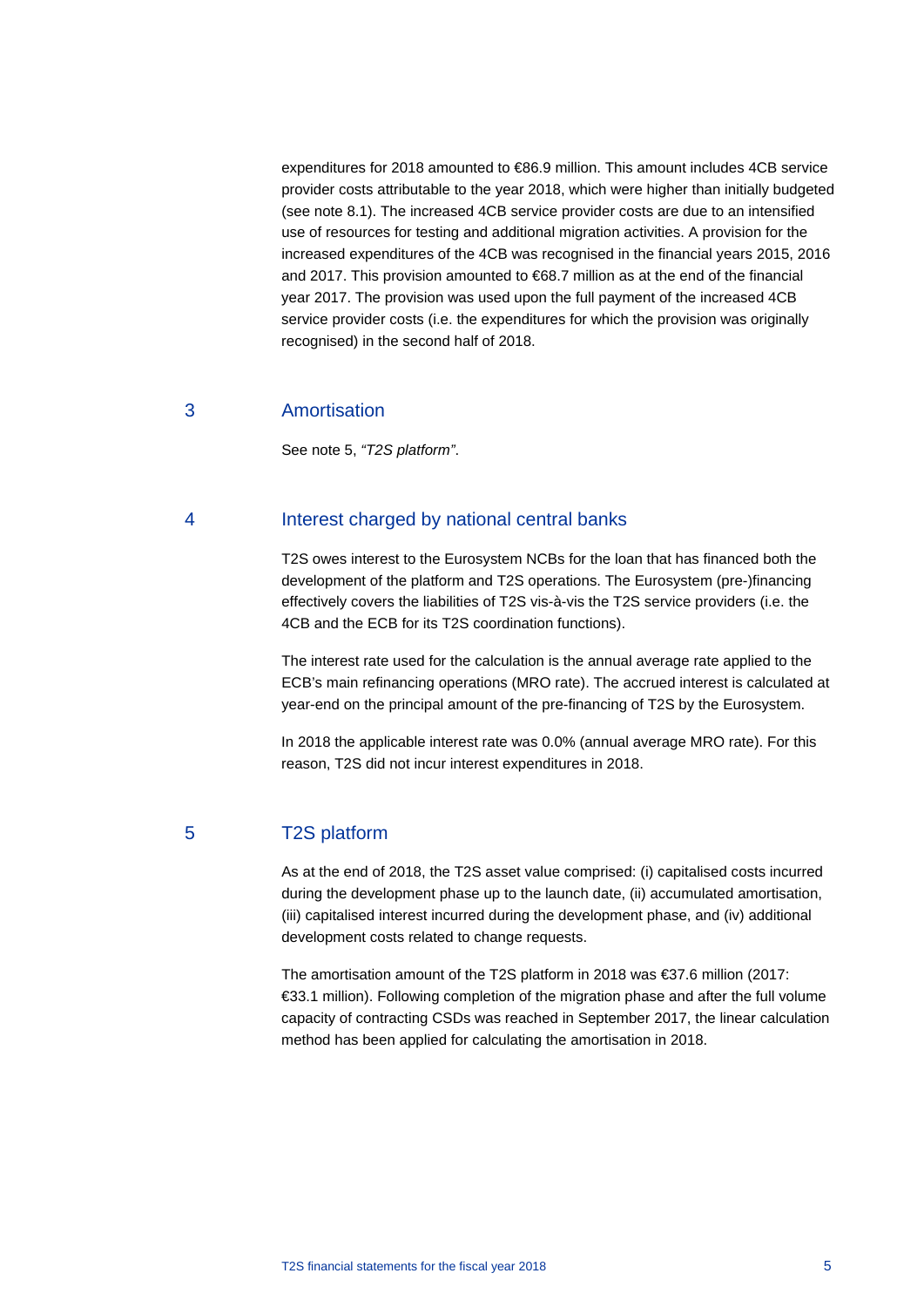expenditures for 2018 amounted to €86.9 million. This amount includes 4CB service provider costs attributable to the year 2018, which were higher than initially budgeted (see note 8.1). The increased 4CB service provider costs are due to an intensified use of resources for testing and additional migration activities. A provision for the increased expenditures of the 4CB was recognised in the financial years 2015, 2016 and 2017. This provision amounted to €68.7 million as at the end of the financial year 2017. The provision was used upon the full payment of the increased 4CB service provider costs (i.e. the expenditures for which the provision was originally recognised) in the second half of 2018.

#### 3 Amortisation

See note 5, *"T2S platform"*.

#### 4 Interest charged by national central banks

T2S owes interest to the Eurosystem NCBs for the loan that has financed both the development of the platform and T2S operations. The Eurosystem (pre-)financing effectively covers the liabilities of T2S vis-à-vis the T2S service providers (i.e. the 4CB and the ECB for its T2S coordination functions).

The interest rate used for the calculation is the annual average rate applied to the ECB's main refinancing operations (MRO rate). The accrued interest is calculated at year-end on the principal amount of the pre-financing of T2S by the Eurosystem.

In 2018 the applicable interest rate was 0.0% (annual average MRO rate). For this reason, T2S did not incur interest expenditures in 2018.

5 T2S platform

As at the end of 2018, the T2S asset value comprised: (i) capitalised costs incurred during the development phase up to the launch date, (ii) accumulated amortisation, (iii) capitalised interest incurred during the development phase, and (iv) additional development costs related to change requests.

The amortisation amount of the T2S platform in 2018 was €37.6 million (2017: €33.1 million). Following completion of the migration phase and after the full volume capacity of contracting CSDs was reached in September 2017, the linear calculation method has been applied for calculating the amortisation in 2018.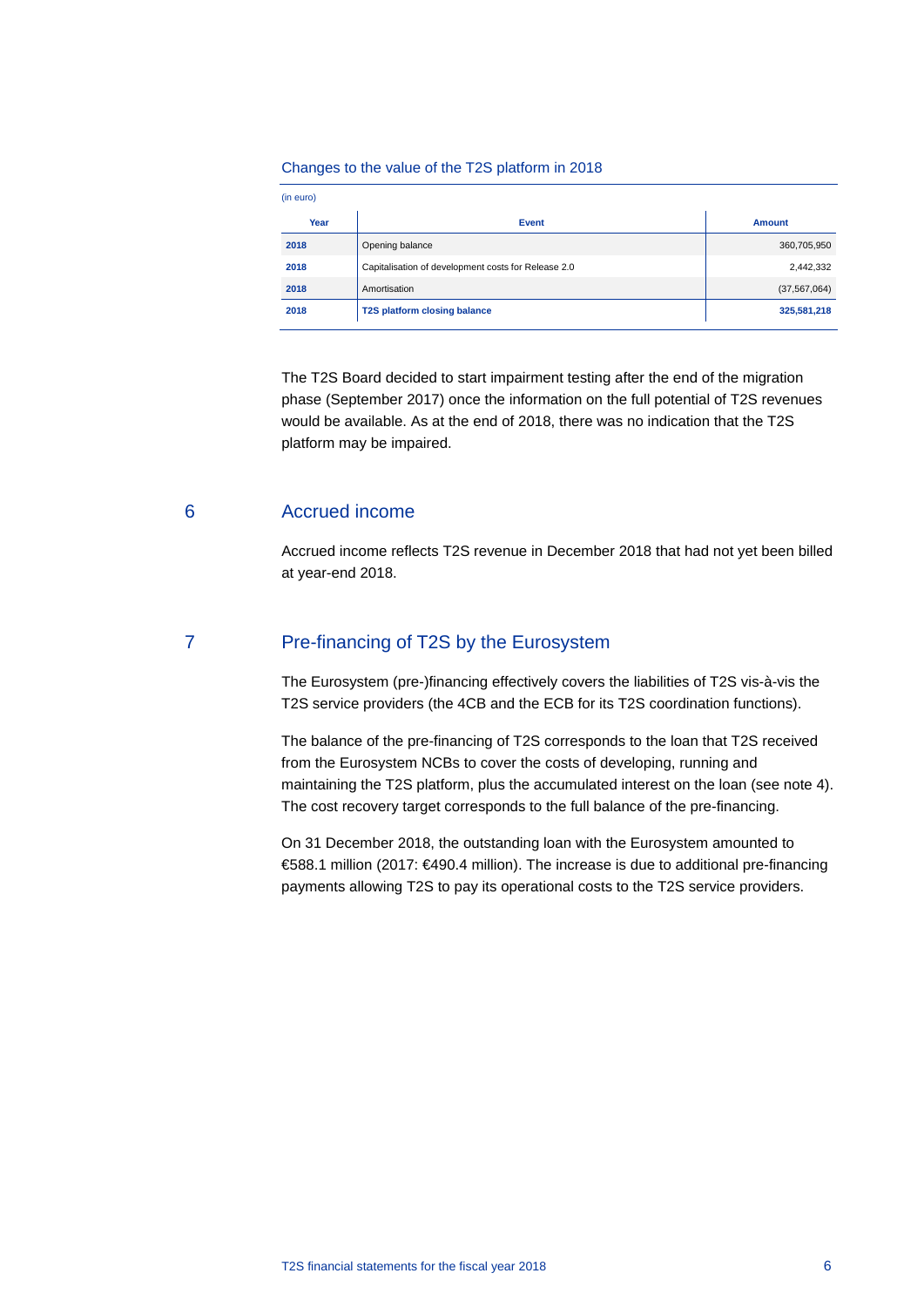#### Changes to the value of the T2S platform in 2018

| (in euro) |                                                     |                |
|-----------|-----------------------------------------------------|----------------|
| Year      | <b>Event</b>                                        | <b>Amount</b>  |
| 2018      | Opening balance                                     | 360,705,950    |
| 2018      | Capitalisation of development costs for Release 2.0 | 2,442,332      |
| 2018      | Amortisation                                        | (37, 567, 064) |
| 2018      | T2S platform closing balance                        | 325,581,218    |

The T2S Board decided to start impairment testing after the end of the migration phase (September 2017) once the information on the full potential of T2S revenues would be available. As at the end of 2018, there was no indication that the T2S platform may be impaired.

#### 6 Accrued income

Accrued income reflects T2S revenue in December 2018 that had not yet been billed at year-end 2018.

#### 7 Pre-financing of T2S by the Eurosystem

The Eurosystem (pre-)financing effectively covers the liabilities of T2S vis-à-vis the T2S service providers (the 4CB and the ECB for its T2S coordination functions).

The balance of the pre-financing of T2S corresponds to the loan that T2S received from the Eurosystem NCBs to cover the costs of developing, running and maintaining the T2S platform, plus the accumulated interest on the loan (see note 4). The cost recovery target corresponds to the full balance of the pre-financing.

On 31 December 2018, the outstanding loan with the Eurosystem amounted to €588.1 million (2017: €490.4 million). The increase is due to additional pre-financing payments allowing T2S to pay its operational costs to the T2S service providers.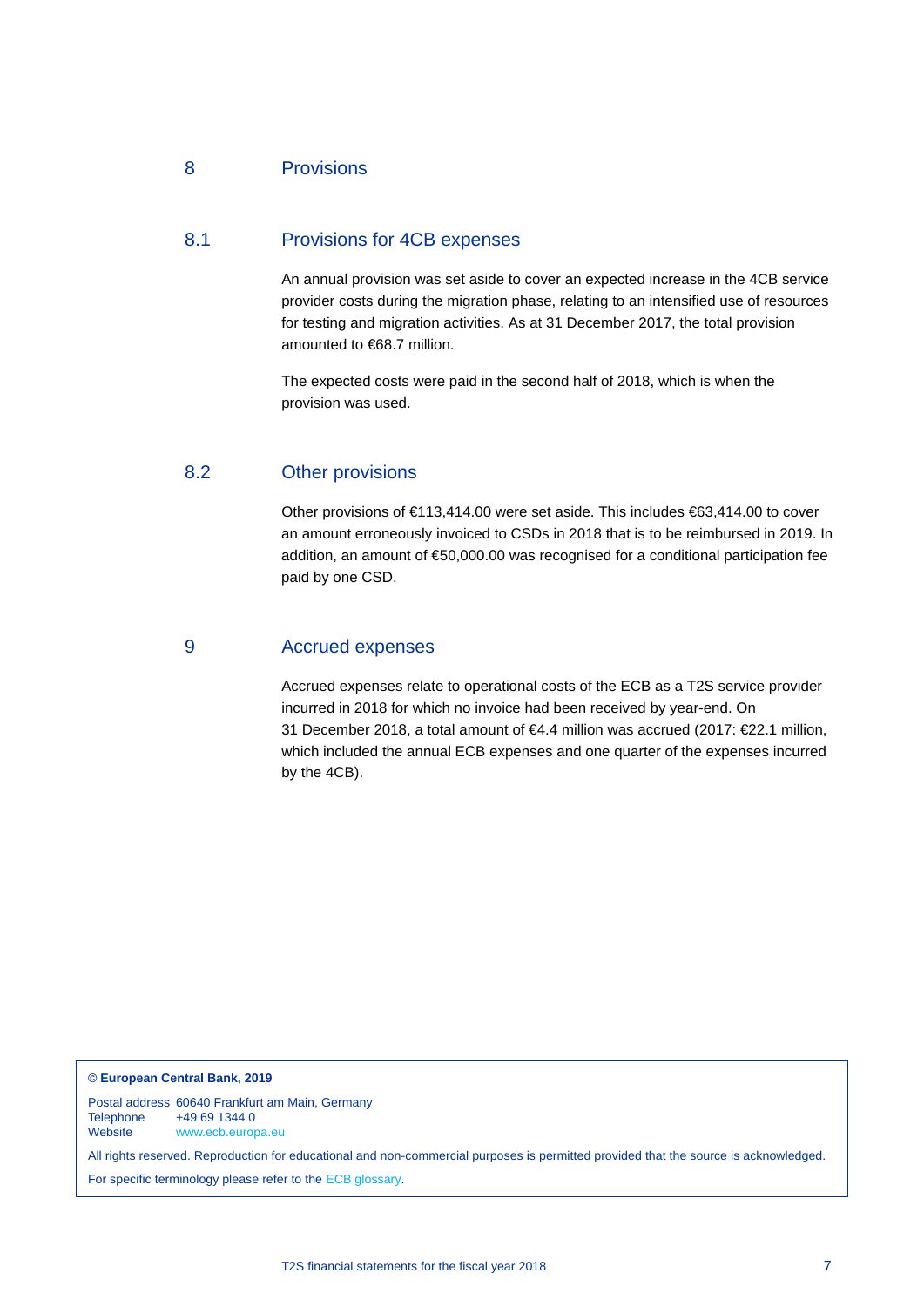### 8 Provisions

#### 8.1 Provisions for 4CB expenses

An annual provision was set aside to cover an expected increase in the 4CB service provider costs during the migration phase, relating to an intensified use of resources for testing and migration activities. As at 31 December 2017, the total provision amounted to €68.7 million.

The expected costs were paid in the second half of 2018, which is when the provision was used.

#### 8.2 Other provisions

Other provisions of €113,414.00 were set aside. This includes €63,414.00 to cover an amount erroneously invoiced to CSDs in 2018 that is to be reimbursed in 2019. In addition, an amount of €50,000.00 was recognised for a conditional participation fee paid by one CSD.

#### 9 Accrued expenses

Accrued expenses relate to operational costs of the ECB as a T2S service provider incurred in 2018 for which no invoice had been received by year-end. On 31 December 2018, a total amount of €4.4 million was accrued (2017: €22.1 million, which included the annual ECB expenses and one quarter of the expenses incurred by the 4CB).

**© European Central Bank, 2019**

Postal address 60640 Frankfurt am Main, Germany Telephone +49 69 1344 0<br>Website www.ecb.euror [www.ecb.europa.eu](http://www.ecb.europa.eu/)

All rights reserved. Reproduction for educational and non-commercial purposes is permitted provided that the source is acknowledged. For specific terminology please refer to the [ECB glossary.](https://www.ecb.europa.eu/home/glossary/html/index.en.html)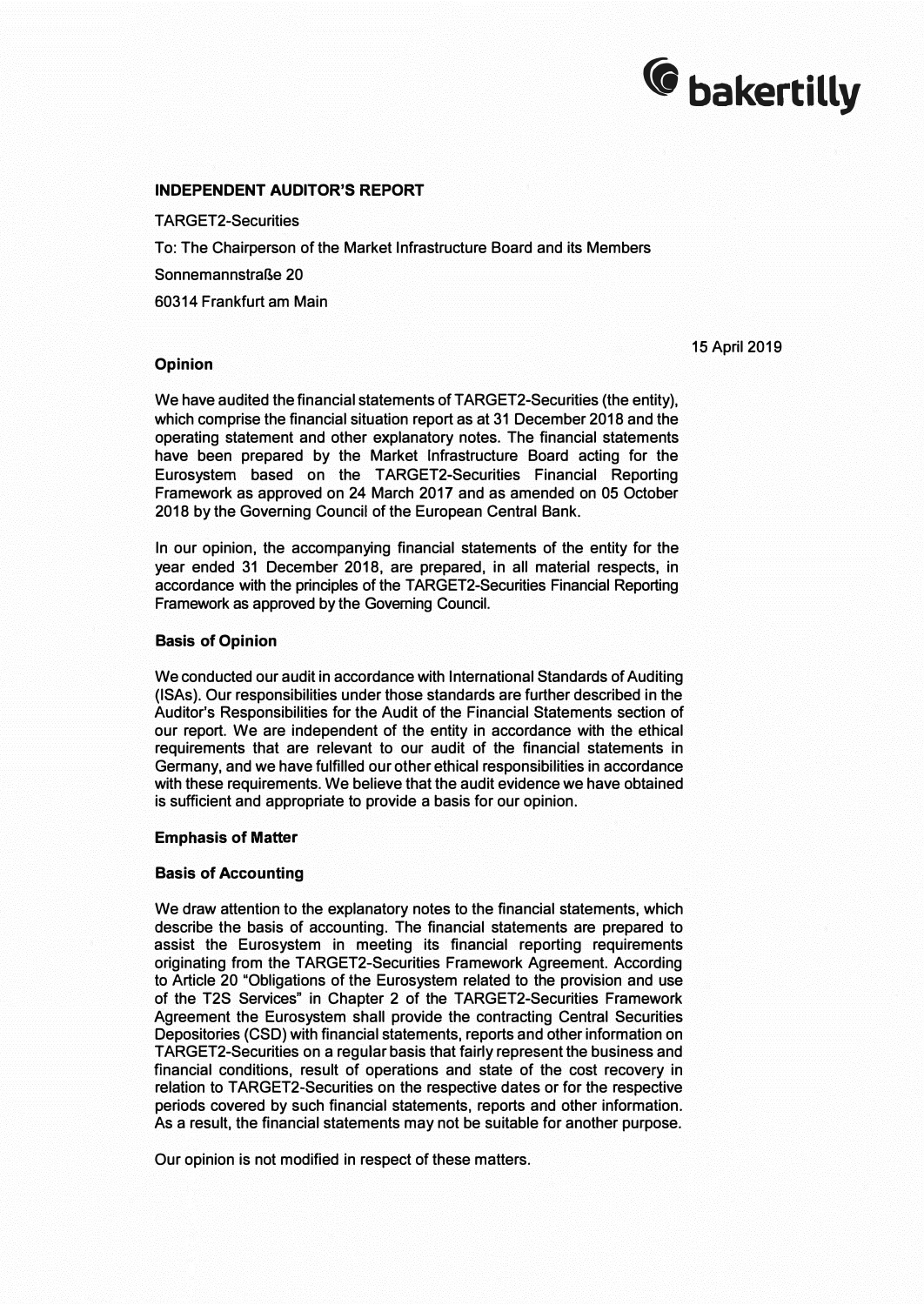# <sup>(</sup>G bakertilly

#### **INDEPENDENT AUDITOR'S REPORT**

TARGET2-Securities

To: The Chairperson of the Market Infrastructure Board and its Members

SonnemannstraBe 20

60314 Frankfurt am Main

#### 15 April 2019

#### **Opinion**

We have audited the financial statements of TARGET2-Securities (the entity), which comprise the financial situation report as at 31 December 2018 and the operating statement and other explanatory notes. The financial statements have been prepared by the Market Infrastructure Board acting for the Eurosystem based on the TARGET2-Securities Financial Reporting Framework as approved on 24 March 2017 and as amended on 05 October 2018 by the Governing Council of the European Central Bank.

In our opinion, the accompanying financial statements of the entity for the year ended 31 December 2018, are prepared, in all material respects, in accordance with the principles of the TARGET2-Securities Financial Reporting Framework as approved by the Governing Council.

#### **Basis of Opinion**

We conducted our audit in accordance with International Standards of Auditing (ISAs). Our responsibilities under those standards are further described in the Auditor's Responsibilities for the Audit of the Financial Statements section of our report. We are independent of the entity in accordance with the ethical requirements that are relevant to our audit of the financial statements in Germany, and we have fulfilled our other ethical responsibilities in accordance with these requirements. We believe that the audit evidence we have obtained is sufficient and appropriate to provide a basis for our opinion.

#### **Emphasis of Matter**

#### **Basis of Accounting**

We draw attention to the explanatory notes to the financial statements, which describe the basis of accounting. The financial statements are prepared to assist the Eurosystem in meeting its financial reporting requirements originating from the TARGET2-Securities Framework Agreement. According to Article 20 "Obligations of the Eurosystem related to the provision and use of the T2S Services" in Chapter 2 of the TARGET2-Securities Framework Agreement the Eurosystem shall provide the contracting Central Securities Depositories (CSD) with financial statements, reports and other information on T ARGET2-Securities on a regular basis that fairly represent the business and financial conditions, result of operations and state of the cost recovery in relation to TARGET2-Securities on the respective dates or for the respective periods covered by such financial statements, reports and other information. As a result, the financial statements may not be suitable for another purpose.

Our opinion is not modified in respect of these matters.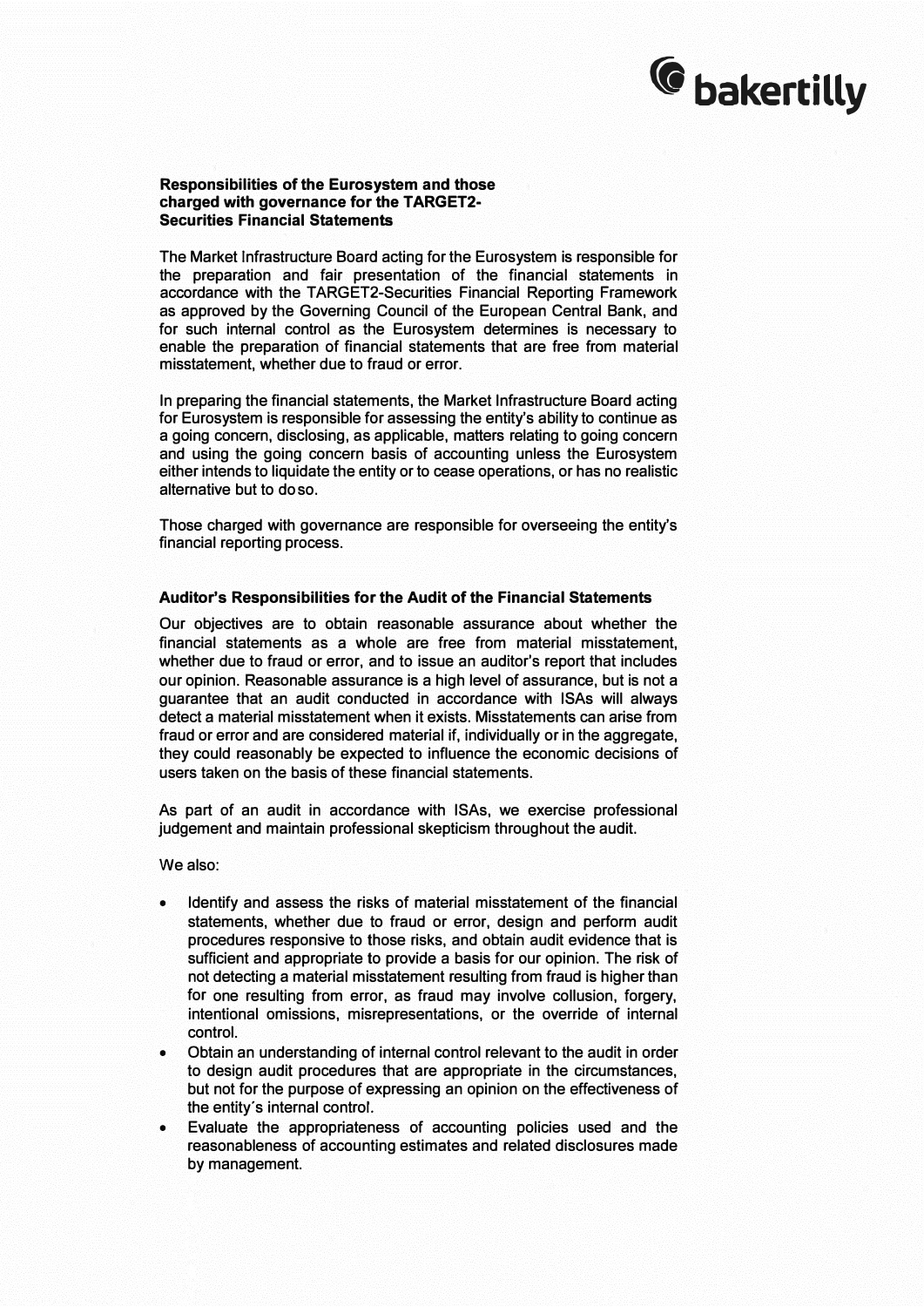# <sup>(</sup>C bakertilly

#### **Responsibilities of the Eurosystem and those charged with governance for the T ARGET2- Securities Financial Statements**

**The Market Infrastructure Board acting for the Eurosystem is responsible for the preparation and fair presentation of the financial statements in accordance with the TARGET2-Securities Financial Reporting Framework as approved by the Governing Council of the European Central Bank, and for such internal control as the Eurosystem determines is necessary to enable the preparation of financial statements that are free from material misstatement, whether due to fraud or error.** 

**In preparing the financial statements, the Market Infrastructure Board acting for Eurosystem is responsible for assessing the entity's ability to continue as a going concern, disclosing, as applicable, matters relating to going concern and using the going concern basis of accounting unless the Eurosystem either intends to liquidate the entity or to cease operations, or has no realistic alternative but to do so.** 

**Those charged with governance are responsible for overseeing the entity's financial reporting process.** 

#### **Auditor's Responsibilities for the Audit of the Financial Statements**

**Our objectives are to obtain reasonable assurance about whether the financial statements as a whole are free from material misstatement, whether due to fraud or error, and to issue an auditor's report that includes our opinion. Reasonable assurance is a high level of assurance, but is not a guarantee that an audit conducted in accordance with ISAs will always detect a material misstatement when it exists. Misstatements can arise from fraud or error and are considered material if, individually or in the aggregate, they could reasonably be expected to influence the economic decisions of users taken on the basis of these financial statements.** 

**As part of an audit in accordance with ISAs, we exercise professional judgement and maintain professional skepticism throughout the audit.** 

**We also:** 

- **• Identify and assess the risks of material misstatement of the financial statements, whether due to fraud or error, design and perform audit procedures responsive to those risks, and obtain audit evidence that is sufficient and appropriate to provide a basis for our opinion. The risk of not detecting a material misstatement resulting from fraud is higher than for one resulting from error, as fraud may involve collusion, forgery, intentional omissions, misrepresentations, or the override of internal control.**
- **• Obtain an understanding of internal control relevant to the audit in order to design audit procedures that are appropriate in the circumstances, but not for the purpose of expressing an opinion on the effectiveness of the entity's internal control.**
- **• Evaluate the appropriateness of accounting policies used and the reasonableness of accounting estimates and related disclosures made by management.**